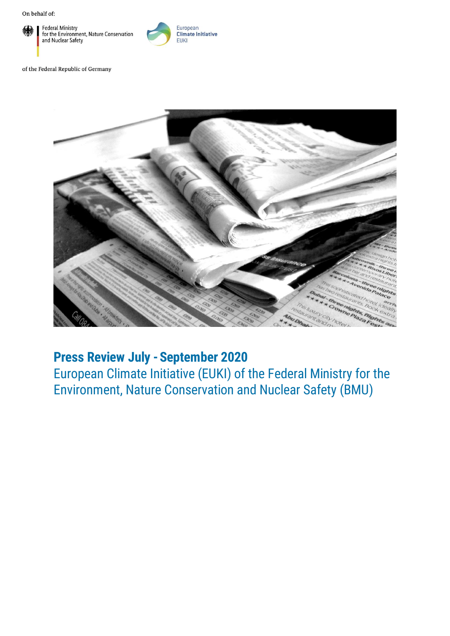

European **Climate Initiative EUKI** 

of the Federal Republic of Germany



## Press Review July - September 2020

European Climate Initiative (EUKI) of the Federal Ministry for the Environment, Nature Conservation and Nuclear Safety (BMU)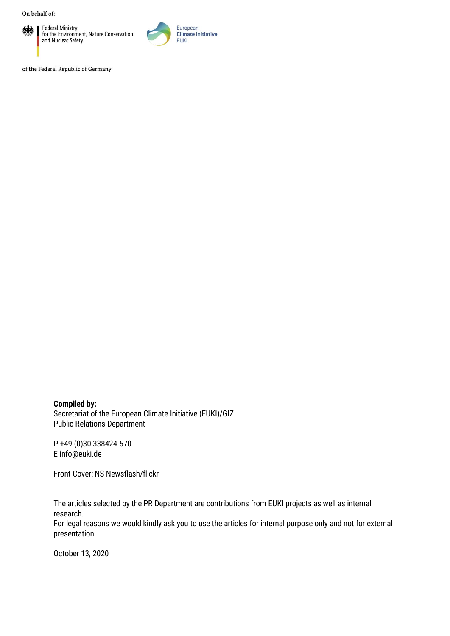

Federal Ministry<br>for the Environment, Nature Conservation<br>and Nuclear Safety



of the Federal Republic of Germany

Compiled by: Secretariat of the European Climate Initiative (EUKI)/GIZ Public Relations Department

P +49 (0)30 338424-570 E [info@euki.de](mailto:info@euki.de)

Front Cover: NS Newsflash/flickr

The articles selected by the PR Department are contributions from EUKI projects as well as internal research.

For legal reasons we would kindly ask you to use the articles for internal purpose only and not for external presentation.

October 13, 2020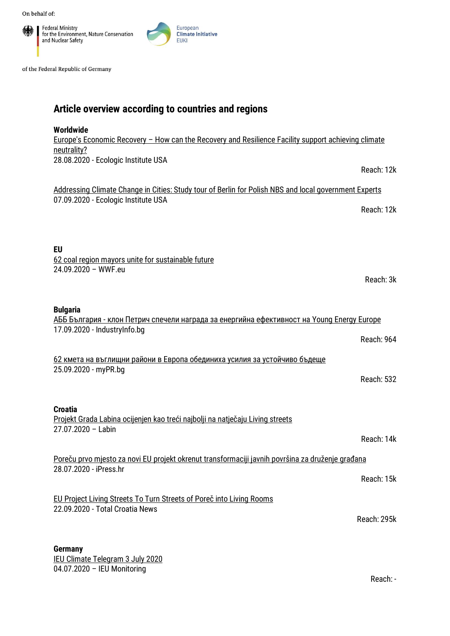

of the Federal Republic of Germany

## Article overview according to countries and regions

| Worldwide<br><u>Europe's Economic Recovery - How can the Recovery and Resilience Facility support achieving climate</u>                                             |
|---------------------------------------------------------------------------------------------------------------------------------------------------------------------|
| neutrality?<br>28.08.2020 - Ecologic Institute USA<br>Reach: 12k                                                                                                    |
| Addressing Climate Change in Cities: Study tour of Berlin for Polish NBS and local government Experts<br>07.09.2020 - Ecologic Institute USA<br>Reach: 12k          |
| EU<br>62 coal region mayors unite for sustainable future<br>24.09.2020 - WWF.eu<br>Reach: 3k                                                                        |
| <b>Bulgaria</b><br><u> АББ България - клон Петрич спечели награда за енергийна ефективност на Young Energy Europe</u><br>17.09.2020 - IndustryInfo.bg<br>Reach: 964 |
| 62 кмета на въглищни райони в Европа обединиха усилия за устойчиво бъдеще<br>25.09.2020 - myPR.bg<br><b>Reach: 532</b>                                              |
| <b>Croatia</b><br>Projekt Grada Labina ocijenjen kao treći najbolji na natječaju Living streets<br>$27.07.2020 - Labin$<br>Reach: 14k                               |
| Poreču prvo mjesto za novi EU projekt okrenut transformaciji javnih površina za druženje građana<br>28.07.2020 - iPress.hr<br>Reach: 15k                            |
| EU Project Living Streets To Turn Streets of Poreč into Living Rooms<br>22.09.2020 - Total Croatia News<br>Reach: 295k                                              |
| <b>Germany</b><br>IFIJ Climate Telegram 3 July 2020                                                                                                                 |

[IEU Climate Telegram 3 July 2020](https://www.ieu-monitoring.com/2020/07/ieu-climate-telegram-3-july-2020.html) 04.07.2020 – IEU Monitoring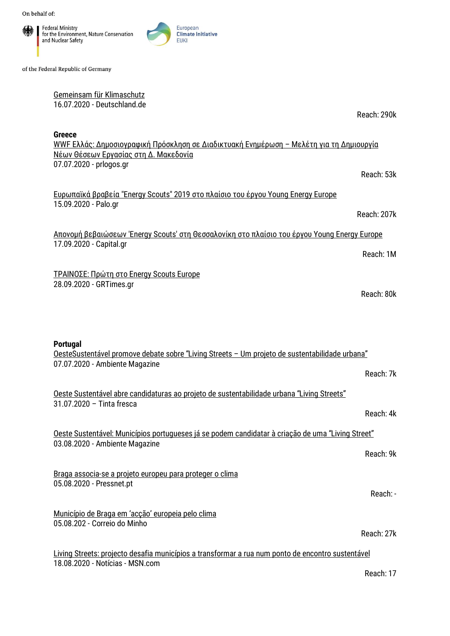

of the Federal Republic of Germany

[Gemeinsam für Klimaschutz](https://www.deutschland.de/de/topic/umwelt/three4climate-eine-triopraesidentschaft-fuer-mehr-klimaschutz) 16.07.2020 - [Deutschland.de](https://www.deutschland.de/de)

Reach: 290k

Reach: 207k

Reach: 80k

Greece WWF Ελλάς: [Δημοσιογραφική](http://www.prlogos.gr/wwf-%CE%B5%CE%BB%CE%BB%CE%AC%CF%82-%CE%B4%CE%B7%CE%BC%CE%BF%CF%83%CE%B9%CE%BF%CE%B3%CF%81%CE%B1%CF%86%CE%B9%CE%BA%CE%AE-%CF%80%CF%81%CF%8C%CF%83%CE%BA%CE%BB%CE%B7%CF%83%CE%B7-%CF%83%CE%B5-%CE%B4/) Πρόσκληση σε Διαδικτυακή Ενημέρωση – Μελέτη για τη Δημιουργία Νέων Θέσεων Εργασίας στη Δ. [Μακεδονία](http://www.prlogos.gr/wwf-%CE%B5%CE%BB%CE%BB%CE%AC%CF%82-%CE%B4%CE%B7%CE%BC%CE%BF%CF%83%CE%B9%CE%BF%CE%B3%CF%81%CE%B1%CF%86%CE%B9%CE%BA%CE%AE-%CF%80%CF%81%CF%8C%CF%83%CE%BA%CE%BB%CE%B7%CF%83%CE%B7-%CF%83%CE%B5-%CE%B4/) 07.07.2020 - [prlogos.gr](https://www.prlogos.gr/) Reach: 53k

Ευρωπαϊκά βραβεία ["Energy Scouts" 2019](http://www.palo.gr/energeia/eyrwpaika-vraveia-energy-scouts-2019-sto-plaisio-toy-ergoy-young-energy-europe/25992362/) στο πλαίσιο του έργου Young Energy Europe 15.09.2020 - Palo.gr

Απονομή βεβαιώσεων 'Energy Scouts' στη Θεσσαλονίκη στο πλαίσιο του έργου [Young Energy Europe](https://www.capital.gr/oikonomia/3481399/aponomi-bebaioseon-energy-scouts-sti-thessaloniki-sto-plaisio-tou-ergou-young-energy-europe) 17.09.2020 - Capital.gr Reach: 1M

ΤΡΑΙΝΟΣΕ: Πρώτη στο [Energy Scouts Europe](https://www.grtimes.gr/oikonomia/energeia/trainose-proti-sto-energy-scouts-europe) 28.09.2020 - GRTimes.gr

Portugal [OesteSustentável promove debate sobre "Living Streets –](https://www.ambientemagazine.com/oestesustentavel-promove-debate-sobre-living-streets-um-projeto-de-sustentabilidade-urbana/) Um projeto de sustentabilidade urbana" 07.07.2020 - Ambiente Magazine Reach: 7k [Oeste Sustentável abre candidaturas ao projeto de sustentabilidade urbana "Living Streets"](http://www.tintafresca.net/News/newsdetail.aspx?news=0df2d388-18a9-43ff-b26b-ca6a47101c9e&edition=234) 31.07.2020 – Tinta fresca Reach: 4k [Oeste Sustentável: Municípios portugueses já se podem candidatar à criação de uma "Living Street"](https://www.ambientemagazine.com/oeste-sustentavel-municipios-portugueses-ja-se-podem-candidatar-a-criacao-de-uma-living-street/) 03.08.2020 - Ambiente Magazine Reach: 9k [Braga associa-se a projeto europeu para proteger o clima](https://pressnet.pt/2020/08/05/braga-associa-se-a-projeto-europeu-para-proteger-o-clima/) 05.08.2020 - Pressnet.pt Reach: - [Município de Braga em 'acção' europeia pelo clima](https://www.correiodominho.pt/noticias/municipio-de-braga-em-accao-europeia-pelo-clima/125843) 05.08.202 - Correio do Minho Reach: 27k Living Streets: projecto [desafia municípios a transformar a rua num ponto de encontro sustentável](https://www.msn.com/pt-pt/lifestyle/noticias/living-streets-projecto-desafia-munic%C3%ADpios-a-transformar-a-rua-num-ponto-de-encontro-sustent%C3%A1vel/ar-BB186V36) 18.08.2020 - Notícias - MSN.com